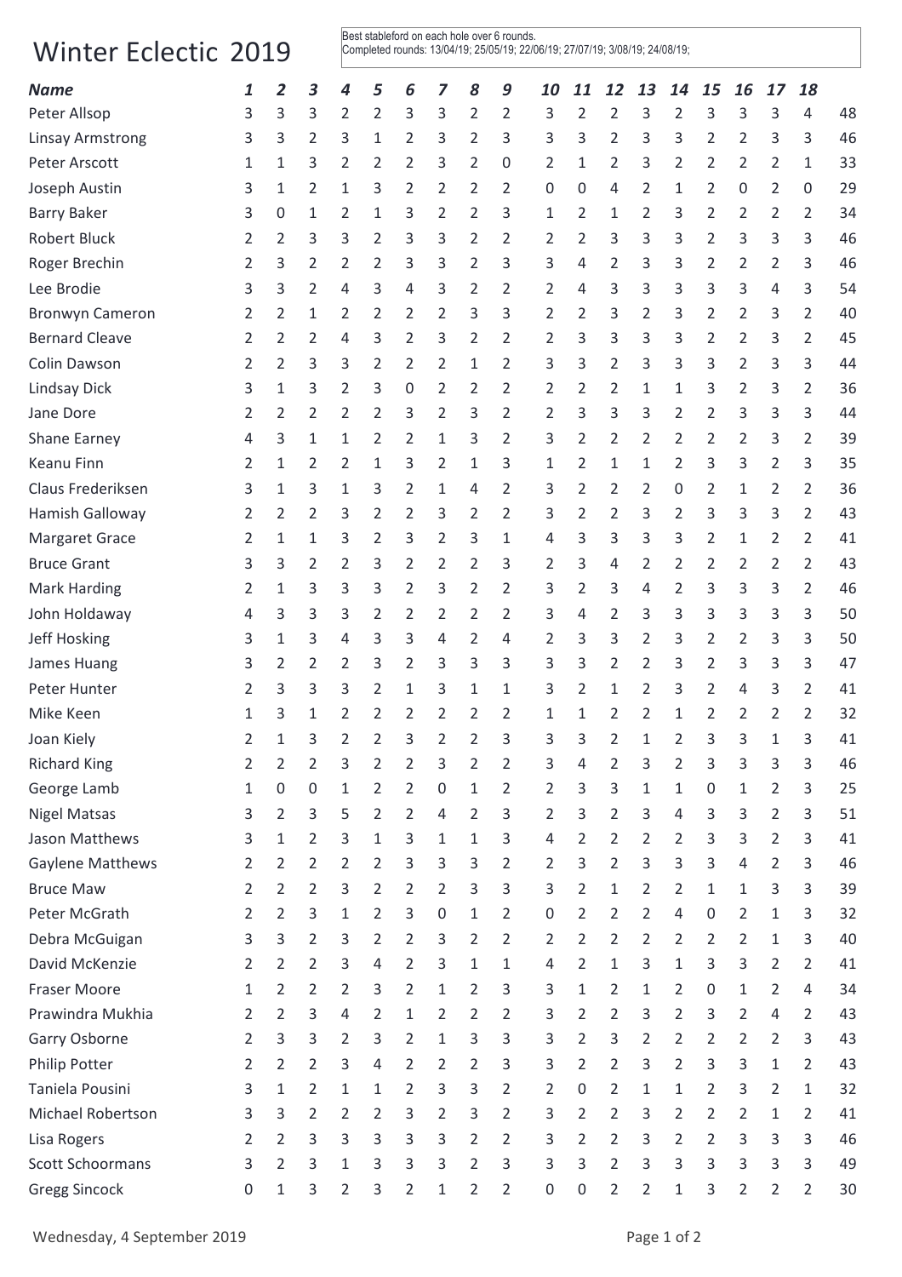## Winter Eclectic 2019

Best stableford on each hole over 6 rounds. Completed rounds: 13/04/19; 25/05/19; 22/06/19; 27/07/19; 3/08/19; 24/08/19;

| Peter Allsop<br>3<br>3<br>2<br>3<br>3<br>2<br>3<br>$\overline{2}$<br>2<br>3<br>2<br>3<br>3<br>3<br>48<br>3<br>2<br>2<br>$\overline{4}$<br>2<br>$\overline{2}$<br>3<br>$\overline{2}$<br>3<br>3<br>2<br>3<br>3<br>2<br>3<br>46<br><b>Linsay Armstrong</b><br>3<br>3<br>3<br>1<br>3<br>2<br>3<br>$\overline{2}$<br>33<br>Peter Arscott<br>3<br>2<br>2<br>3<br>2<br>2<br>1<br>2<br>3<br>2<br>2<br>2<br>2<br>1<br>1<br>0<br>1<br>Joseph Austin<br>2<br>1<br>3<br>2<br>2<br>2<br>2<br>1<br>2<br>29<br>3<br>1<br>2<br>0<br>0<br>4<br>2<br>0<br>0<br>34<br><b>Barry Baker</b><br>2<br>1<br>3<br>2<br>2<br>3<br>2<br>3<br>2<br>2<br>3<br>0<br>1<br>1<br>2<br>1<br>2<br>2<br><b>Robert Bluck</b><br>3<br>$\overline{2}$<br>3<br>3<br>3<br>2<br>3<br>3<br>46<br>2<br>2<br>3<br>3<br>2<br>2<br>2<br>2<br>3<br>3<br>Roger Brechin<br>46<br>3<br>2<br>2<br>2<br>3<br>3<br>2<br>3<br>3<br>4<br>2<br>3<br>3<br>2<br>2<br>3<br>2<br>2<br>3<br>3<br>Lee Brodie<br>3<br>3<br>2<br>3<br>3<br>2<br>2<br>2<br>3<br>3<br>3<br>3<br>54<br>4<br>4<br>4<br>4<br>2<br><b>Bronwyn Cameron</b><br>2<br>1<br>2<br>2<br>2<br>2<br>3<br>3<br>2<br>2<br>3<br>2<br>3<br>2<br>2<br>40<br>2<br>3<br><b>Bernard Cleave</b><br>$\overline{2}$<br>3<br>3<br>3<br>2<br>45<br>2<br>3<br>2<br>$\overline{2}$<br>3<br>3<br>2<br>2<br>3<br>2<br>2<br>4<br>2<br>Colin Dawson<br>3<br>2<br>3<br>3<br>2<br>2<br>2<br>1<br>2<br>3<br>3<br>2<br>3<br>3<br>3<br>2<br>3<br>44<br>2<br><b>Lindsay Dick</b><br>3<br>36<br>2<br>3<br>2<br>2<br>2<br>2<br>2<br>3<br>2<br>3<br>2<br>3<br>1<br>0<br>2<br>1<br>1<br>3<br>Jane Dore<br>2<br>2<br>3<br>2<br>2<br>3<br>3<br>3<br>2<br>2<br>44<br>2<br>2<br>3<br>2<br>3<br>3<br>2<br>$\overline{2}$<br>3<br>3<br>2<br>2<br>39<br>Shane Earney<br>3<br>1<br>1<br>2<br>1<br>2<br>2<br>2<br>2<br>2<br>2<br>3<br>4<br><b>Keanu Finn</b><br>35<br>2<br>2<br>1<br>3<br>2<br>1<br>2<br>1<br>2<br>3<br>3<br>2<br>3<br>1<br>3<br>1<br>1<br>2<br>Claus Frederiksen<br>3<br>$\overline{2}$<br>36<br>1<br>3<br>2<br>3<br>2<br>2<br>2<br>0<br>2<br>2<br>3<br>1<br>1<br>4<br>1<br>2<br>2<br>43<br>Hamish Galloway<br>2<br>2<br>3<br>2<br>2<br>3<br>2<br>3<br>2<br>2<br>3<br>2<br>3<br>3<br>2<br>2<br>3<br>Margaret Grace<br>3<br>3<br>3<br>2<br>2<br>3<br>4<br>3<br>3<br>3<br>2<br>1<br>2<br>41<br>2<br>1<br>1<br>1<br>2<br><b>Bruce Grant</b><br>2<br>$\overline{2}$<br>43<br>2<br>2<br>3<br>2<br>2<br>2<br>3<br>2<br>2<br>2<br>2<br>2<br>3<br>3<br>3<br>4<br>3<br>2<br>46<br><b>Mark Harding</b><br>3<br>3<br>$\overline{2}$<br>3<br>2<br>2<br>3<br>2<br>3<br>2<br>3<br>3<br>3<br>2<br>1<br>4<br>3<br>3<br>50<br>John Holdaway<br>3<br>3<br>3<br>2<br>2<br>3<br>4<br>2<br>3<br>3<br>2<br>2<br>2<br>3<br>3<br>4<br>Jeff Hosking<br>3<br>3<br>2<br>3<br>3<br>50<br>3<br>1<br>4<br>3<br>4<br>2<br>2<br>3<br>3<br>2<br>2<br>3<br>4<br>James Huang<br>2<br>2<br>3<br>2<br>3<br>3<br>3<br>2<br>3<br>2<br>3<br>47<br>2<br>3<br>3<br>2<br>3<br>3<br>3<br>3<br>3<br>3<br>3<br>2<br>3<br>2<br>Peter Hunter<br>2<br>1<br>3<br>1<br>2<br>1<br>2<br>3<br>41<br>2<br>1<br>4<br>32<br>2<br>2<br>2<br>2<br>2<br>1<br>2<br>2<br>2<br>Mike Keen<br>3<br>1<br>2<br>2<br>1<br>1<br>2<br>2<br>1<br>Joan Kiely<br>3<br>2<br>2<br>3<br>2<br>2<br>3<br>3<br>3<br>2<br>2<br>3<br>3<br>3<br>2<br>1<br>1<br>1<br>41<br><b>Richard King</b><br>$\overline{2}$<br>2<br>3<br>$\overline{2}$<br>$\overline{2}$<br>2<br>3<br>3<br>46<br>2<br>2<br>3<br>2<br>2<br>3<br>3<br>3<br>3<br>4<br>George Lamb<br>0<br>$\mathbf{1}$<br>$\overline{2}$<br>$\overline{2}$<br>1<br>2<br>2<br>3<br>3<br>3<br>25<br>0<br>0<br>1<br>1<br>0<br>1<br>2<br>1<br><b>Nigel Matsas</b><br>3<br>5<br>2<br>$\overline{2}$<br>2<br>3<br>2<br>3<br>2<br>3<br>4<br>3<br>3<br>51<br>3<br>2<br>4<br>3<br>$\overline{2}$<br>3<br>Jason Matthews<br>2<br>3<br>1<br>1<br>3<br>2<br>2<br>$\overline{2}$<br>3<br>3<br>3<br>41<br>3<br>1<br>1<br>4<br>2<br>$\overline{2}$<br><b>Gaylene Matthews</b><br>$\overline{2}$<br>3<br>3<br>3<br>3<br>3<br>46<br>2<br>2<br>2<br>2<br>3<br>3<br>2<br>2<br>3<br>2<br>4<br>2<br><b>Bruce Maw</b><br>2<br>3<br>2<br>3<br>3<br>3<br>39<br>2<br>2<br>$\overline{2}$<br>2<br>3<br>2<br>1<br>2<br>2<br>1<br>3<br>1<br>Peter McGrath<br>3<br>$\mathbf{1}$<br>2<br>3<br>2<br>4<br>32<br>2<br>2<br>0<br>1<br>2<br>$\boldsymbol{0}$<br>2<br>2<br>0<br>2<br>1<br>3<br>$\overline{2}$<br>3<br>Debra McGuigan<br>3<br>3<br>2<br>3<br>2<br>3<br>2<br>2<br>2<br>2<br>2<br>2<br>2<br>$\overline{2}$<br>2<br>40<br>1<br>David McKenzie<br>3<br>$\overline{2}$<br>$\mathbf{1}$<br>3<br>$\overline{2}$<br>41<br>2<br>2<br>4<br>3<br>1<br>1<br>4<br>2<br>1<br>3<br>3<br>$\overline{2}$<br>2<br><b>Fraser Moore</b><br>$\overline{2}$<br>3<br>$\overline{2}$<br>3<br>2<br>2<br>1<br>2<br>3<br>1<br>2<br>1<br>2<br>0<br>1<br>2<br>4<br>34<br>1 | <b>Name</b>      | 1 | 2 | 3 | 4 | 5 | 6 | 7 | 8 | 9 | 10 | 11 | 12 | 13 | 14 | 15 | 16 | 17 | 18 |    |
|---------------------------------------------------------------------------------------------------------------------------------------------------------------------------------------------------------------------------------------------------------------------------------------------------------------------------------------------------------------------------------------------------------------------------------------------------------------------------------------------------------------------------------------------------------------------------------------------------------------------------------------------------------------------------------------------------------------------------------------------------------------------------------------------------------------------------------------------------------------------------------------------------------------------------------------------------------------------------------------------------------------------------------------------------------------------------------------------------------------------------------------------------------------------------------------------------------------------------------------------------------------------------------------------------------------------------------------------------------------------------------------------------------------------------------------------------------------------------------------------------------------------------------------------------------------------------------------------------------------------------------------------------------------------------------------------------------------------------------------------------------------------------------------------------------------------------------------------------------------------------------------------------------------------------------------------------------------------------------------------------------------------------------------------------------------------------------------------------------------------------------------------------------------------------------------------------------------------------------------------------------------------------------------------------------------------------------------------------------------------------------------------------------------------------------------------------------------------------------------------------------------------------------------------------------------------------------------------------------------------------------------------------------------------------------------------------------------------------------------------------------------------------------------------------------------------------------------------------------------------------------------------------------------------------------------------------------------------------------------------------------------------------------------------------------------------------------------------------------------------------------------------------------------------------------------------------------------------------------------------------------------------------------------------------------------------------------------------------------------------------------------------------------------------------------------------------------------------------------------------------------------------------------------------------------------------------------------------------------------------------------------------------------------------------------------------------------------------------------------------------------------------------------------------------------------------------------------------------------------------------------------------------------------------------------------------------------------------------------------------------------------------------------------------------------------------------------------------------------------------------------------------------------------------------------------------------------------------------------------------------------------------------------------------------------------------------------------------------------------------------------------------------------------------------------------------------------------------------------------------------------------------------------------------------------------------------------------------------------------------------------------------------------------------------------------------------------------------------------------------------------------------|------------------|---|---|---|---|---|---|---|---|---|----|----|----|----|----|----|----|----|----|----|
|                                                                                                                                                                                                                                                                                                                                                                                                                                                                                                                                                                                                                                                                                                                                                                                                                                                                                                                                                                                                                                                                                                                                                                                                                                                                                                                                                                                                                                                                                                                                                                                                                                                                                                                                                                                                                                                                                                                                                                                                                                                                                                                                                                                                                                                                                                                                                                                                                                                                                                                                                                                                                                                                                                                                                                                                                                                                                                                                                                                                                                                                                                                                                                                                                                                                                                                                                                                                                                                                                                                                                                                                                                                                                                                                                                                                                                                                                                                                                                                                                                                                                                                                                                                                                                                                                                                                                                                                                                                                                                                                                                                                                                                                                                                                                                     |                  |   |   |   |   |   |   |   |   |   |    |    |    |    |    |    |    |    |    |    |
|                                                                                                                                                                                                                                                                                                                                                                                                                                                                                                                                                                                                                                                                                                                                                                                                                                                                                                                                                                                                                                                                                                                                                                                                                                                                                                                                                                                                                                                                                                                                                                                                                                                                                                                                                                                                                                                                                                                                                                                                                                                                                                                                                                                                                                                                                                                                                                                                                                                                                                                                                                                                                                                                                                                                                                                                                                                                                                                                                                                                                                                                                                                                                                                                                                                                                                                                                                                                                                                                                                                                                                                                                                                                                                                                                                                                                                                                                                                                                                                                                                                                                                                                                                                                                                                                                                                                                                                                                                                                                                                                                                                                                                                                                                                                                                     |                  |   |   |   |   |   |   |   |   |   |    |    |    |    |    |    |    |    |    |    |
|                                                                                                                                                                                                                                                                                                                                                                                                                                                                                                                                                                                                                                                                                                                                                                                                                                                                                                                                                                                                                                                                                                                                                                                                                                                                                                                                                                                                                                                                                                                                                                                                                                                                                                                                                                                                                                                                                                                                                                                                                                                                                                                                                                                                                                                                                                                                                                                                                                                                                                                                                                                                                                                                                                                                                                                                                                                                                                                                                                                                                                                                                                                                                                                                                                                                                                                                                                                                                                                                                                                                                                                                                                                                                                                                                                                                                                                                                                                                                                                                                                                                                                                                                                                                                                                                                                                                                                                                                                                                                                                                                                                                                                                                                                                                                                     |                  |   |   |   |   |   |   |   |   |   |    |    |    |    |    |    |    |    |    |    |
|                                                                                                                                                                                                                                                                                                                                                                                                                                                                                                                                                                                                                                                                                                                                                                                                                                                                                                                                                                                                                                                                                                                                                                                                                                                                                                                                                                                                                                                                                                                                                                                                                                                                                                                                                                                                                                                                                                                                                                                                                                                                                                                                                                                                                                                                                                                                                                                                                                                                                                                                                                                                                                                                                                                                                                                                                                                                                                                                                                                                                                                                                                                                                                                                                                                                                                                                                                                                                                                                                                                                                                                                                                                                                                                                                                                                                                                                                                                                                                                                                                                                                                                                                                                                                                                                                                                                                                                                                                                                                                                                                                                                                                                                                                                                                                     |                  |   |   |   |   |   |   |   |   |   |    |    |    |    |    |    |    |    |    |    |
|                                                                                                                                                                                                                                                                                                                                                                                                                                                                                                                                                                                                                                                                                                                                                                                                                                                                                                                                                                                                                                                                                                                                                                                                                                                                                                                                                                                                                                                                                                                                                                                                                                                                                                                                                                                                                                                                                                                                                                                                                                                                                                                                                                                                                                                                                                                                                                                                                                                                                                                                                                                                                                                                                                                                                                                                                                                                                                                                                                                                                                                                                                                                                                                                                                                                                                                                                                                                                                                                                                                                                                                                                                                                                                                                                                                                                                                                                                                                                                                                                                                                                                                                                                                                                                                                                                                                                                                                                                                                                                                                                                                                                                                                                                                                                                     |                  |   |   |   |   |   |   |   |   |   |    |    |    |    |    |    |    |    |    |    |
|                                                                                                                                                                                                                                                                                                                                                                                                                                                                                                                                                                                                                                                                                                                                                                                                                                                                                                                                                                                                                                                                                                                                                                                                                                                                                                                                                                                                                                                                                                                                                                                                                                                                                                                                                                                                                                                                                                                                                                                                                                                                                                                                                                                                                                                                                                                                                                                                                                                                                                                                                                                                                                                                                                                                                                                                                                                                                                                                                                                                                                                                                                                                                                                                                                                                                                                                                                                                                                                                                                                                                                                                                                                                                                                                                                                                                                                                                                                                                                                                                                                                                                                                                                                                                                                                                                                                                                                                                                                                                                                                                                                                                                                                                                                                                                     |                  |   |   |   |   |   |   |   |   |   |    |    |    |    |    |    |    |    |    |    |
|                                                                                                                                                                                                                                                                                                                                                                                                                                                                                                                                                                                                                                                                                                                                                                                                                                                                                                                                                                                                                                                                                                                                                                                                                                                                                                                                                                                                                                                                                                                                                                                                                                                                                                                                                                                                                                                                                                                                                                                                                                                                                                                                                                                                                                                                                                                                                                                                                                                                                                                                                                                                                                                                                                                                                                                                                                                                                                                                                                                                                                                                                                                                                                                                                                                                                                                                                                                                                                                                                                                                                                                                                                                                                                                                                                                                                                                                                                                                                                                                                                                                                                                                                                                                                                                                                                                                                                                                                                                                                                                                                                                                                                                                                                                                                                     |                  |   |   |   |   |   |   |   |   |   |    |    |    |    |    |    |    |    |    |    |
|                                                                                                                                                                                                                                                                                                                                                                                                                                                                                                                                                                                                                                                                                                                                                                                                                                                                                                                                                                                                                                                                                                                                                                                                                                                                                                                                                                                                                                                                                                                                                                                                                                                                                                                                                                                                                                                                                                                                                                                                                                                                                                                                                                                                                                                                                                                                                                                                                                                                                                                                                                                                                                                                                                                                                                                                                                                                                                                                                                                                                                                                                                                                                                                                                                                                                                                                                                                                                                                                                                                                                                                                                                                                                                                                                                                                                                                                                                                                                                                                                                                                                                                                                                                                                                                                                                                                                                                                                                                                                                                                                                                                                                                                                                                                                                     |                  |   |   |   |   |   |   |   |   |   |    |    |    |    |    |    |    |    |    |    |
|                                                                                                                                                                                                                                                                                                                                                                                                                                                                                                                                                                                                                                                                                                                                                                                                                                                                                                                                                                                                                                                                                                                                                                                                                                                                                                                                                                                                                                                                                                                                                                                                                                                                                                                                                                                                                                                                                                                                                                                                                                                                                                                                                                                                                                                                                                                                                                                                                                                                                                                                                                                                                                                                                                                                                                                                                                                                                                                                                                                                                                                                                                                                                                                                                                                                                                                                                                                                                                                                                                                                                                                                                                                                                                                                                                                                                                                                                                                                                                                                                                                                                                                                                                                                                                                                                                                                                                                                                                                                                                                                                                                                                                                                                                                                                                     |                  |   |   |   |   |   |   |   |   |   |    |    |    |    |    |    |    |    |    |    |
|                                                                                                                                                                                                                                                                                                                                                                                                                                                                                                                                                                                                                                                                                                                                                                                                                                                                                                                                                                                                                                                                                                                                                                                                                                                                                                                                                                                                                                                                                                                                                                                                                                                                                                                                                                                                                                                                                                                                                                                                                                                                                                                                                                                                                                                                                                                                                                                                                                                                                                                                                                                                                                                                                                                                                                                                                                                                                                                                                                                                                                                                                                                                                                                                                                                                                                                                                                                                                                                                                                                                                                                                                                                                                                                                                                                                                                                                                                                                                                                                                                                                                                                                                                                                                                                                                                                                                                                                                                                                                                                                                                                                                                                                                                                                                                     |                  |   |   |   |   |   |   |   |   |   |    |    |    |    |    |    |    |    |    |    |
|                                                                                                                                                                                                                                                                                                                                                                                                                                                                                                                                                                                                                                                                                                                                                                                                                                                                                                                                                                                                                                                                                                                                                                                                                                                                                                                                                                                                                                                                                                                                                                                                                                                                                                                                                                                                                                                                                                                                                                                                                                                                                                                                                                                                                                                                                                                                                                                                                                                                                                                                                                                                                                                                                                                                                                                                                                                                                                                                                                                                                                                                                                                                                                                                                                                                                                                                                                                                                                                                                                                                                                                                                                                                                                                                                                                                                                                                                                                                                                                                                                                                                                                                                                                                                                                                                                                                                                                                                                                                                                                                                                                                                                                                                                                                                                     |                  |   |   |   |   |   |   |   |   |   |    |    |    |    |    |    |    |    |    |    |
|                                                                                                                                                                                                                                                                                                                                                                                                                                                                                                                                                                                                                                                                                                                                                                                                                                                                                                                                                                                                                                                                                                                                                                                                                                                                                                                                                                                                                                                                                                                                                                                                                                                                                                                                                                                                                                                                                                                                                                                                                                                                                                                                                                                                                                                                                                                                                                                                                                                                                                                                                                                                                                                                                                                                                                                                                                                                                                                                                                                                                                                                                                                                                                                                                                                                                                                                                                                                                                                                                                                                                                                                                                                                                                                                                                                                                                                                                                                                                                                                                                                                                                                                                                                                                                                                                                                                                                                                                                                                                                                                                                                                                                                                                                                                                                     |                  |   |   |   |   |   |   |   |   |   |    |    |    |    |    |    |    |    |    |    |
|                                                                                                                                                                                                                                                                                                                                                                                                                                                                                                                                                                                                                                                                                                                                                                                                                                                                                                                                                                                                                                                                                                                                                                                                                                                                                                                                                                                                                                                                                                                                                                                                                                                                                                                                                                                                                                                                                                                                                                                                                                                                                                                                                                                                                                                                                                                                                                                                                                                                                                                                                                                                                                                                                                                                                                                                                                                                                                                                                                                                                                                                                                                                                                                                                                                                                                                                                                                                                                                                                                                                                                                                                                                                                                                                                                                                                                                                                                                                                                                                                                                                                                                                                                                                                                                                                                                                                                                                                                                                                                                                                                                                                                                                                                                                                                     |                  |   |   |   |   |   |   |   |   |   |    |    |    |    |    |    |    |    |    |    |
|                                                                                                                                                                                                                                                                                                                                                                                                                                                                                                                                                                                                                                                                                                                                                                                                                                                                                                                                                                                                                                                                                                                                                                                                                                                                                                                                                                                                                                                                                                                                                                                                                                                                                                                                                                                                                                                                                                                                                                                                                                                                                                                                                                                                                                                                                                                                                                                                                                                                                                                                                                                                                                                                                                                                                                                                                                                                                                                                                                                                                                                                                                                                                                                                                                                                                                                                                                                                                                                                                                                                                                                                                                                                                                                                                                                                                                                                                                                                                                                                                                                                                                                                                                                                                                                                                                                                                                                                                                                                                                                                                                                                                                                                                                                                                                     |                  |   |   |   |   |   |   |   |   |   |    |    |    |    |    |    |    |    |    |    |
|                                                                                                                                                                                                                                                                                                                                                                                                                                                                                                                                                                                                                                                                                                                                                                                                                                                                                                                                                                                                                                                                                                                                                                                                                                                                                                                                                                                                                                                                                                                                                                                                                                                                                                                                                                                                                                                                                                                                                                                                                                                                                                                                                                                                                                                                                                                                                                                                                                                                                                                                                                                                                                                                                                                                                                                                                                                                                                                                                                                                                                                                                                                                                                                                                                                                                                                                                                                                                                                                                                                                                                                                                                                                                                                                                                                                                                                                                                                                                                                                                                                                                                                                                                                                                                                                                                                                                                                                                                                                                                                                                                                                                                                                                                                                                                     |                  |   |   |   |   |   |   |   |   |   |    |    |    |    |    |    |    |    |    |    |
|                                                                                                                                                                                                                                                                                                                                                                                                                                                                                                                                                                                                                                                                                                                                                                                                                                                                                                                                                                                                                                                                                                                                                                                                                                                                                                                                                                                                                                                                                                                                                                                                                                                                                                                                                                                                                                                                                                                                                                                                                                                                                                                                                                                                                                                                                                                                                                                                                                                                                                                                                                                                                                                                                                                                                                                                                                                                                                                                                                                                                                                                                                                                                                                                                                                                                                                                                                                                                                                                                                                                                                                                                                                                                                                                                                                                                                                                                                                                                                                                                                                                                                                                                                                                                                                                                                                                                                                                                                                                                                                                                                                                                                                                                                                                                                     |                  |   |   |   |   |   |   |   |   |   |    |    |    |    |    |    |    |    |    |    |
|                                                                                                                                                                                                                                                                                                                                                                                                                                                                                                                                                                                                                                                                                                                                                                                                                                                                                                                                                                                                                                                                                                                                                                                                                                                                                                                                                                                                                                                                                                                                                                                                                                                                                                                                                                                                                                                                                                                                                                                                                                                                                                                                                                                                                                                                                                                                                                                                                                                                                                                                                                                                                                                                                                                                                                                                                                                                                                                                                                                                                                                                                                                                                                                                                                                                                                                                                                                                                                                                                                                                                                                                                                                                                                                                                                                                                                                                                                                                                                                                                                                                                                                                                                                                                                                                                                                                                                                                                                                                                                                                                                                                                                                                                                                                                                     |                  |   |   |   |   |   |   |   |   |   |    |    |    |    |    |    |    |    |    |    |
|                                                                                                                                                                                                                                                                                                                                                                                                                                                                                                                                                                                                                                                                                                                                                                                                                                                                                                                                                                                                                                                                                                                                                                                                                                                                                                                                                                                                                                                                                                                                                                                                                                                                                                                                                                                                                                                                                                                                                                                                                                                                                                                                                                                                                                                                                                                                                                                                                                                                                                                                                                                                                                                                                                                                                                                                                                                                                                                                                                                                                                                                                                                                                                                                                                                                                                                                                                                                                                                                                                                                                                                                                                                                                                                                                                                                                                                                                                                                                                                                                                                                                                                                                                                                                                                                                                                                                                                                                                                                                                                                                                                                                                                                                                                                                                     |                  |   |   |   |   |   |   |   |   |   |    |    |    |    |    |    |    |    |    |    |
|                                                                                                                                                                                                                                                                                                                                                                                                                                                                                                                                                                                                                                                                                                                                                                                                                                                                                                                                                                                                                                                                                                                                                                                                                                                                                                                                                                                                                                                                                                                                                                                                                                                                                                                                                                                                                                                                                                                                                                                                                                                                                                                                                                                                                                                                                                                                                                                                                                                                                                                                                                                                                                                                                                                                                                                                                                                                                                                                                                                                                                                                                                                                                                                                                                                                                                                                                                                                                                                                                                                                                                                                                                                                                                                                                                                                                                                                                                                                                                                                                                                                                                                                                                                                                                                                                                                                                                                                                                                                                                                                                                                                                                                                                                                                                                     |                  |   |   |   |   |   |   |   |   |   |    |    |    |    |    |    |    |    |    |    |
|                                                                                                                                                                                                                                                                                                                                                                                                                                                                                                                                                                                                                                                                                                                                                                                                                                                                                                                                                                                                                                                                                                                                                                                                                                                                                                                                                                                                                                                                                                                                                                                                                                                                                                                                                                                                                                                                                                                                                                                                                                                                                                                                                                                                                                                                                                                                                                                                                                                                                                                                                                                                                                                                                                                                                                                                                                                                                                                                                                                                                                                                                                                                                                                                                                                                                                                                                                                                                                                                                                                                                                                                                                                                                                                                                                                                                                                                                                                                                                                                                                                                                                                                                                                                                                                                                                                                                                                                                                                                                                                                                                                                                                                                                                                                                                     |                  |   |   |   |   |   |   |   |   |   |    |    |    |    |    |    |    |    |    |    |
|                                                                                                                                                                                                                                                                                                                                                                                                                                                                                                                                                                                                                                                                                                                                                                                                                                                                                                                                                                                                                                                                                                                                                                                                                                                                                                                                                                                                                                                                                                                                                                                                                                                                                                                                                                                                                                                                                                                                                                                                                                                                                                                                                                                                                                                                                                                                                                                                                                                                                                                                                                                                                                                                                                                                                                                                                                                                                                                                                                                                                                                                                                                                                                                                                                                                                                                                                                                                                                                                                                                                                                                                                                                                                                                                                                                                                                                                                                                                                                                                                                                                                                                                                                                                                                                                                                                                                                                                                                                                                                                                                                                                                                                                                                                                                                     |                  |   |   |   |   |   |   |   |   |   |    |    |    |    |    |    |    |    |    |    |
|                                                                                                                                                                                                                                                                                                                                                                                                                                                                                                                                                                                                                                                                                                                                                                                                                                                                                                                                                                                                                                                                                                                                                                                                                                                                                                                                                                                                                                                                                                                                                                                                                                                                                                                                                                                                                                                                                                                                                                                                                                                                                                                                                                                                                                                                                                                                                                                                                                                                                                                                                                                                                                                                                                                                                                                                                                                                                                                                                                                                                                                                                                                                                                                                                                                                                                                                                                                                                                                                                                                                                                                                                                                                                                                                                                                                                                                                                                                                                                                                                                                                                                                                                                                                                                                                                                                                                                                                                                                                                                                                                                                                                                                                                                                                                                     |                  |   |   |   |   |   |   |   |   |   |    |    |    |    |    |    |    |    |    |    |
|                                                                                                                                                                                                                                                                                                                                                                                                                                                                                                                                                                                                                                                                                                                                                                                                                                                                                                                                                                                                                                                                                                                                                                                                                                                                                                                                                                                                                                                                                                                                                                                                                                                                                                                                                                                                                                                                                                                                                                                                                                                                                                                                                                                                                                                                                                                                                                                                                                                                                                                                                                                                                                                                                                                                                                                                                                                                                                                                                                                                                                                                                                                                                                                                                                                                                                                                                                                                                                                                                                                                                                                                                                                                                                                                                                                                                                                                                                                                                                                                                                                                                                                                                                                                                                                                                                                                                                                                                                                                                                                                                                                                                                                                                                                                                                     |                  |   |   |   |   |   |   |   |   |   |    |    |    |    |    |    |    |    |    |    |
|                                                                                                                                                                                                                                                                                                                                                                                                                                                                                                                                                                                                                                                                                                                                                                                                                                                                                                                                                                                                                                                                                                                                                                                                                                                                                                                                                                                                                                                                                                                                                                                                                                                                                                                                                                                                                                                                                                                                                                                                                                                                                                                                                                                                                                                                                                                                                                                                                                                                                                                                                                                                                                                                                                                                                                                                                                                                                                                                                                                                                                                                                                                                                                                                                                                                                                                                                                                                                                                                                                                                                                                                                                                                                                                                                                                                                                                                                                                                                                                                                                                                                                                                                                                                                                                                                                                                                                                                                                                                                                                                                                                                                                                                                                                                                                     |                  |   |   |   |   |   |   |   |   |   |    |    |    |    |    |    |    |    |    |    |
|                                                                                                                                                                                                                                                                                                                                                                                                                                                                                                                                                                                                                                                                                                                                                                                                                                                                                                                                                                                                                                                                                                                                                                                                                                                                                                                                                                                                                                                                                                                                                                                                                                                                                                                                                                                                                                                                                                                                                                                                                                                                                                                                                                                                                                                                                                                                                                                                                                                                                                                                                                                                                                                                                                                                                                                                                                                                                                                                                                                                                                                                                                                                                                                                                                                                                                                                                                                                                                                                                                                                                                                                                                                                                                                                                                                                                                                                                                                                                                                                                                                                                                                                                                                                                                                                                                                                                                                                                                                                                                                                                                                                                                                                                                                                                                     |                  |   |   |   |   |   |   |   |   |   |    |    |    |    |    |    |    |    |    |    |
|                                                                                                                                                                                                                                                                                                                                                                                                                                                                                                                                                                                                                                                                                                                                                                                                                                                                                                                                                                                                                                                                                                                                                                                                                                                                                                                                                                                                                                                                                                                                                                                                                                                                                                                                                                                                                                                                                                                                                                                                                                                                                                                                                                                                                                                                                                                                                                                                                                                                                                                                                                                                                                                                                                                                                                                                                                                                                                                                                                                                                                                                                                                                                                                                                                                                                                                                                                                                                                                                                                                                                                                                                                                                                                                                                                                                                                                                                                                                                                                                                                                                                                                                                                                                                                                                                                                                                                                                                                                                                                                                                                                                                                                                                                                                                                     |                  |   |   |   |   |   |   |   |   |   |    |    |    |    |    |    |    |    |    |    |
|                                                                                                                                                                                                                                                                                                                                                                                                                                                                                                                                                                                                                                                                                                                                                                                                                                                                                                                                                                                                                                                                                                                                                                                                                                                                                                                                                                                                                                                                                                                                                                                                                                                                                                                                                                                                                                                                                                                                                                                                                                                                                                                                                                                                                                                                                                                                                                                                                                                                                                                                                                                                                                                                                                                                                                                                                                                                                                                                                                                                                                                                                                                                                                                                                                                                                                                                                                                                                                                                                                                                                                                                                                                                                                                                                                                                                                                                                                                                                                                                                                                                                                                                                                                                                                                                                                                                                                                                                                                                                                                                                                                                                                                                                                                                                                     |                  |   |   |   |   |   |   |   |   |   |    |    |    |    |    |    |    |    |    |    |
|                                                                                                                                                                                                                                                                                                                                                                                                                                                                                                                                                                                                                                                                                                                                                                                                                                                                                                                                                                                                                                                                                                                                                                                                                                                                                                                                                                                                                                                                                                                                                                                                                                                                                                                                                                                                                                                                                                                                                                                                                                                                                                                                                                                                                                                                                                                                                                                                                                                                                                                                                                                                                                                                                                                                                                                                                                                                                                                                                                                                                                                                                                                                                                                                                                                                                                                                                                                                                                                                                                                                                                                                                                                                                                                                                                                                                                                                                                                                                                                                                                                                                                                                                                                                                                                                                                                                                                                                                                                                                                                                                                                                                                                                                                                                                                     |                  |   |   |   |   |   |   |   |   |   |    |    |    |    |    |    |    |    |    |    |
|                                                                                                                                                                                                                                                                                                                                                                                                                                                                                                                                                                                                                                                                                                                                                                                                                                                                                                                                                                                                                                                                                                                                                                                                                                                                                                                                                                                                                                                                                                                                                                                                                                                                                                                                                                                                                                                                                                                                                                                                                                                                                                                                                                                                                                                                                                                                                                                                                                                                                                                                                                                                                                                                                                                                                                                                                                                                                                                                                                                                                                                                                                                                                                                                                                                                                                                                                                                                                                                                                                                                                                                                                                                                                                                                                                                                                                                                                                                                                                                                                                                                                                                                                                                                                                                                                                                                                                                                                                                                                                                                                                                                                                                                                                                                                                     |                  |   |   |   |   |   |   |   |   |   |    |    |    |    |    |    |    |    |    |    |
|                                                                                                                                                                                                                                                                                                                                                                                                                                                                                                                                                                                                                                                                                                                                                                                                                                                                                                                                                                                                                                                                                                                                                                                                                                                                                                                                                                                                                                                                                                                                                                                                                                                                                                                                                                                                                                                                                                                                                                                                                                                                                                                                                                                                                                                                                                                                                                                                                                                                                                                                                                                                                                                                                                                                                                                                                                                                                                                                                                                                                                                                                                                                                                                                                                                                                                                                                                                                                                                                                                                                                                                                                                                                                                                                                                                                                                                                                                                                                                                                                                                                                                                                                                                                                                                                                                                                                                                                                                                                                                                                                                                                                                                                                                                                                                     |                  |   |   |   |   |   |   |   |   |   |    |    |    |    |    |    |    |    |    |    |
|                                                                                                                                                                                                                                                                                                                                                                                                                                                                                                                                                                                                                                                                                                                                                                                                                                                                                                                                                                                                                                                                                                                                                                                                                                                                                                                                                                                                                                                                                                                                                                                                                                                                                                                                                                                                                                                                                                                                                                                                                                                                                                                                                                                                                                                                                                                                                                                                                                                                                                                                                                                                                                                                                                                                                                                                                                                                                                                                                                                                                                                                                                                                                                                                                                                                                                                                                                                                                                                                                                                                                                                                                                                                                                                                                                                                                                                                                                                                                                                                                                                                                                                                                                                                                                                                                                                                                                                                                                                                                                                                                                                                                                                                                                                                                                     |                  |   |   |   |   |   |   |   |   |   |    |    |    |    |    |    |    |    |    |    |
|                                                                                                                                                                                                                                                                                                                                                                                                                                                                                                                                                                                                                                                                                                                                                                                                                                                                                                                                                                                                                                                                                                                                                                                                                                                                                                                                                                                                                                                                                                                                                                                                                                                                                                                                                                                                                                                                                                                                                                                                                                                                                                                                                                                                                                                                                                                                                                                                                                                                                                                                                                                                                                                                                                                                                                                                                                                                                                                                                                                                                                                                                                                                                                                                                                                                                                                                                                                                                                                                                                                                                                                                                                                                                                                                                                                                                                                                                                                                                                                                                                                                                                                                                                                                                                                                                                                                                                                                                                                                                                                                                                                                                                                                                                                                                                     |                  |   |   |   |   |   |   |   |   |   |    |    |    |    |    |    |    |    |    |    |
|                                                                                                                                                                                                                                                                                                                                                                                                                                                                                                                                                                                                                                                                                                                                                                                                                                                                                                                                                                                                                                                                                                                                                                                                                                                                                                                                                                                                                                                                                                                                                                                                                                                                                                                                                                                                                                                                                                                                                                                                                                                                                                                                                                                                                                                                                                                                                                                                                                                                                                                                                                                                                                                                                                                                                                                                                                                                                                                                                                                                                                                                                                                                                                                                                                                                                                                                                                                                                                                                                                                                                                                                                                                                                                                                                                                                                                                                                                                                                                                                                                                                                                                                                                                                                                                                                                                                                                                                                                                                                                                                                                                                                                                                                                                                                                     |                  |   |   |   |   |   |   |   |   |   |    |    |    |    |    |    |    |    |    |    |
|                                                                                                                                                                                                                                                                                                                                                                                                                                                                                                                                                                                                                                                                                                                                                                                                                                                                                                                                                                                                                                                                                                                                                                                                                                                                                                                                                                                                                                                                                                                                                                                                                                                                                                                                                                                                                                                                                                                                                                                                                                                                                                                                                                                                                                                                                                                                                                                                                                                                                                                                                                                                                                                                                                                                                                                                                                                                                                                                                                                                                                                                                                                                                                                                                                                                                                                                                                                                                                                                                                                                                                                                                                                                                                                                                                                                                                                                                                                                                                                                                                                                                                                                                                                                                                                                                                                                                                                                                                                                                                                                                                                                                                                                                                                                                                     |                  |   |   |   |   |   |   |   |   |   |    |    |    |    |    |    |    |    |    |    |
|                                                                                                                                                                                                                                                                                                                                                                                                                                                                                                                                                                                                                                                                                                                                                                                                                                                                                                                                                                                                                                                                                                                                                                                                                                                                                                                                                                                                                                                                                                                                                                                                                                                                                                                                                                                                                                                                                                                                                                                                                                                                                                                                                                                                                                                                                                                                                                                                                                                                                                                                                                                                                                                                                                                                                                                                                                                                                                                                                                                                                                                                                                                                                                                                                                                                                                                                                                                                                                                                                                                                                                                                                                                                                                                                                                                                                                                                                                                                                                                                                                                                                                                                                                                                                                                                                                                                                                                                                                                                                                                                                                                                                                                                                                                                                                     |                  |   |   |   |   |   |   |   |   |   |    |    |    |    |    |    |    |    |    |    |
|                                                                                                                                                                                                                                                                                                                                                                                                                                                                                                                                                                                                                                                                                                                                                                                                                                                                                                                                                                                                                                                                                                                                                                                                                                                                                                                                                                                                                                                                                                                                                                                                                                                                                                                                                                                                                                                                                                                                                                                                                                                                                                                                                                                                                                                                                                                                                                                                                                                                                                                                                                                                                                                                                                                                                                                                                                                                                                                                                                                                                                                                                                                                                                                                                                                                                                                                                                                                                                                                                                                                                                                                                                                                                                                                                                                                                                                                                                                                                                                                                                                                                                                                                                                                                                                                                                                                                                                                                                                                                                                                                                                                                                                                                                                                                                     |                  |   |   |   |   |   |   |   |   |   |    |    |    |    |    |    |    |    |    |    |
| 3<br>4<br>2<br>3<br>3<br>2<br>2<br>2<br>1<br>2<br>$\overline{2}$<br>2<br>2<br>2<br>3<br>2<br>4<br>2                                                                                                                                                                                                                                                                                                                                                                                                                                                                                                                                                                                                                                                                                                                                                                                                                                                                                                                                                                                                                                                                                                                                                                                                                                                                                                                                                                                                                                                                                                                                                                                                                                                                                                                                                                                                                                                                                                                                                                                                                                                                                                                                                                                                                                                                                                                                                                                                                                                                                                                                                                                                                                                                                                                                                                                                                                                                                                                                                                                                                                                                                                                                                                                                                                                                                                                                                                                                                                                                                                                                                                                                                                                                                                                                                                                                                                                                                                                                                                                                                                                                                                                                                                                                                                                                                                                                                                                                                                                                                                                                                                                                                                                                 | Prawindra Mukhia |   |   |   |   |   |   |   |   |   |    |    |    |    |    |    |    |    |    | 43 |
| Garry Osborne<br>3<br>3<br>3<br>2<br>3<br>$\overline{2}$<br>1<br>3<br>3<br>3<br>2<br>3<br>2<br>2<br>$\overline{2}$<br>43<br>2<br>$\overline{2}$<br>$\overline{2}$                                                                                                                                                                                                                                                                                                                                                                                                                                                                                                                                                                                                                                                                                                                                                                                                                                                                                                                                                                                                                                                                                                                                                                                                                                                                                                                                                                                                                                                                                                                                                                                                                                                                                                                                                                                                                                                                                                                                                                                                                                                                                                                                                                                                                                                                                                                                                                                                                                                                                                                                                                                                                                                                                                                                                                                                                                                                                                                                                                                                                                                                                                                                                                                                                                                                                                                                                                                                                                                                                                                                                                                                                                                                                                                                                                                                                                                                                                                                                                                                                                                                                                                                                                                                                                                                                                                                                                                                                                                                                                                                                                                                   |                  |   |   |   |   |   |   |   |   |   |    |    |    |    |    |    |    |    |    |    |
| Philip Potter<br>$\overline{2}$<br>4<br>$\overline{2}$<br>2<br>3<br>$\overline{2}$<br>3<br>3<br>$\overline{2}$<br>43<br>2<br>3<br>2<br>3<br>3<br>2<br>2<br>1<br>2                                                                                                                                                                                                                                                                                                                                                                                                                                                                                                                                                                                                                                                                                                                                                                                                                                                                                                                                                                                                                                                                                                                                                                                                                                                                                                                                                                                                                                                                                                                                                                                                                                                                                                                                                                                                                                                                                                                                                                                                                                                                                                                                                                                                                                                                                                                                                                                                                                                                                                                                                                                                                                                                                                                                                                                                                                                                                                                                                                                                                                                                                                                                                                                                                                                                                                                                                                                                                                                                                                                                                                                                                                                                                                                                                                                                                                                                                                                                                                                                                                                                                                                                                                                                                                                                                                                                                                                                                                                                                                                                                                                                   |                  |   |   |   |   |   |   |   |   |   |    |    |    |    |    |    |    |    |    |    |
| Taniela Pousini<br>2<br>$\mathbf{1}$<br>$\overline{2}$<br>3<br>3<br>32<br>3<br>$\mathbf{1}$<br>1<br>2<br>$\overline{2}$<br>0<br>2<br>1<br>1<br>2<br>3<br>$\overline{2}$<br>1                                                                                                                                                                                                                                                                                                                                                                                                                                                                                                                                                                                                                                                                                                                                                                                                                                                                                                                                                                                                                                                                                                                                                                                                                                                                                                                                                                                                                                                                                                                                                                                                                                                                                                                                                                                                                                                                                                                                                                                                                                                                                                                                                                                                                                                                                                                                                                                                                                                                                                                                                                                                                                                                                                                                                                                                                                                                                                                                                                                                                                                                                                                                                                                                                                                                                                                                                                                                                                                                                                                                                                                                                                                                                                                                                                                                                                                                                                                                                                                                                                                                                                                                                                                                                                                                                                                                                                                                                                                                                                                                                                                        |                  |   |   |   |   |   |   |   |   |   |    |    |    |    |    |    |    |    |    |    |
| Michael Robertson<br>2<br>2<br>3<br>3<br>3<br>2<br>2<br>41<br>3<br>3<br>2<br>2<br>3<br>2<br>2<br>2<br>2<br>2<br>1                                                                                                                                                                                                                                                                                                                                                                                                                                                                                                                                                                                                                                                                                                                                                                                                                                                                                                                                                                                                                                                                                                                                                                                                                                                                                                                                                                                                                                                                                                                                                                                                                                                                                                                                                                                                                                                                                                                                                                                                                                                                                                                                                                                                                                                                                                                                                                                                                                                                                                                                                                                                                                                                                                                                                                                                                                                                                                                                                                                                                                                                                                                                                                                                                                                                                                                                                                                                                                                                                                                                                                                                                                                                                                                                                                                                                                                                                                                                                                                                                                                                                                                                                                                                                                                                                                                                                                                                                                                                                                                                                                                                                                                   |                  |   |   |   |   |   |   |   |   |   |    |    |    |    |    |    |    |    |    |    |
| 3<br>3<br>3<br>3<br>3<br>3<br>2<br>3<br>2<br>2<br>3<br>2<br>2<br>3<br>3<br>46<br>Lisa Rogers<br>2<br>2<br>2                                                                                                                                                                                                                                                                                                                                                                                                                                                                                                                                                                                                                                                                                                                                                                                                                                                                                                                                                                                                                                                                                                                                                                                                                                                                                                                                                                                                                                                                                                                                                                                                                                                                                                                                                                                                                                                                                                                                                                                                                                                                                                                                                                                                                                                                                                                                                                                                                                                                                                                                                                                                                                                                                                                                                                                                                                                                                                                                                                                                                                                                                                                                                                                                                                                                                                                                                                                                                                                                                                                                                                                                                                                                                                                                                                                                                                                                                                                                                                                                                                                                                                                                                                                                                                                                                                                                                                                                                                                                                                                                                                                                                                                         |                  |   |   |   |   |   |   |   |   |   |    |    |    |    |    |    |    |    |    |    |
| Scott Schoormans<br>3<br>3<br>3<br>3<br>2<br>3<br>3<br>3<br>3<br>3<br>3<br>3<br>49<br>3<br>2<br>1<br>3<br>2<br>3                                                                                                                                                                                                                                                                                                                                                                                                                                                                                                                                                                                                                                                                                                                                                                                                                                                                                                                                                                                                                                                                                                                                                                                                                                                                                                                                                                                                                                                                                                                                                                                                                                                                                                                                                                                                                                                                                                                                                                                                                                                                                                                                                                                                                                                                                                                                                                                                                                                                                                                                                                                                                                                                                                                                                                                                                                                                                                                                                                                                                                                                                                                                                                                                                                                                                                                                                                                                                                                                                                                                                                                                                                                                                                                                                                                                                                                                                                                                                                                                                                                                                                                                                                                                                                                                                                                                                                                                                                                                                                                                                                                                                                                    |                  |   |   |   |   |   |   |   |   |   |    |    |    |    |    |    |    |    |    |    |
| <b>Gregg Sincock</b><br>3<br>$\overline{2}$<br>3<br>$\overline{2}$<br>2<br>2<br>$\boldsymbol{0}$<br>0<br>2<br>2<br>3<br>2<br>2<br>30<br>0<br>$\mathbf{1}$<br>1<br>1<br>2                                                                                                                                                                                                                                                                                                                                                                                                                                                                                                                                                                                                                                                                                                                                                                                                                                                                                                                                                                                                                                                                                                                                                                                                                                                                                                                                                                                                                                                                                                                                                                                                                                                                                                                                                                                                                                                                                                                                                                                                                                                                                                                                                                                                                                                                                                                                                                                                                                                                                                                                                                                                                                                                                                                                                                                                                                                                                                                                                                                                                                                                                                                                                                                                                                                                                                                                                                                                                                                                                                                                                                                                                                                                                                                                                                                                                                                                                                                                                                                                                                                                                                                                                                                                                                                                                                                                                                                                                                                                                                                                                                                            |                  |   |   |   |   |   |   |   |   |   |    |    |    |    |    |    |    |    |    |    |